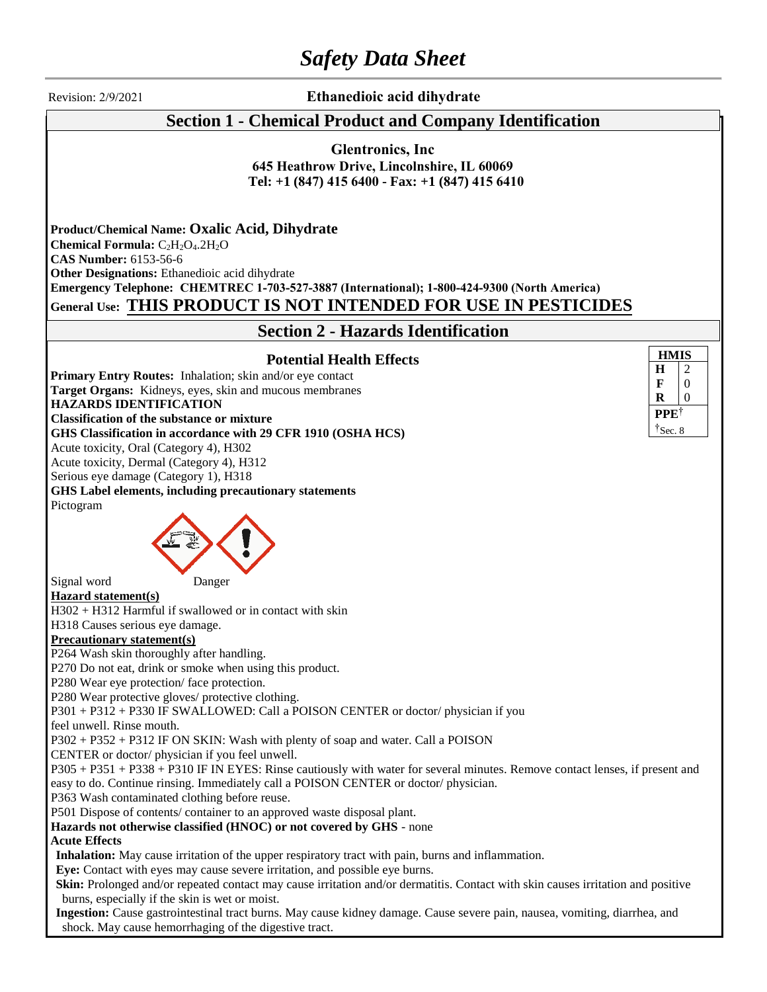# *Safety Data Sheet*

Revision: 2/9/2021 **Ethanedioic acid dihydrate**

## **Section 1 - Chemical Product and Company Identification**

**Glentronics, Inc 645 Heathrow Drive, Lincolnshire, IL 60069 Tel: +1 (847) 415 [6400](mailto:sales@wegochem.com) - Fax: +1 (847) 415 6410**

**Product/Chemical Name: Oxalic Acid, Dihydrate Chemical Formula:** C<sub>2</sub>H<sub>2</sub>O<sub>4</sub>.2H<sub>2</sub>O **CAS Number:** 6153-56-6 **Other Designations:** Ethanedioic acid dihydrate **Emergency Telephone: CHEMTREC 1-703-527-3887 (International); 1-800-424-9300 (North America) General Use: THIS PRODUCT IS NOT INTENDED FOR USE IN PESTICIDES**

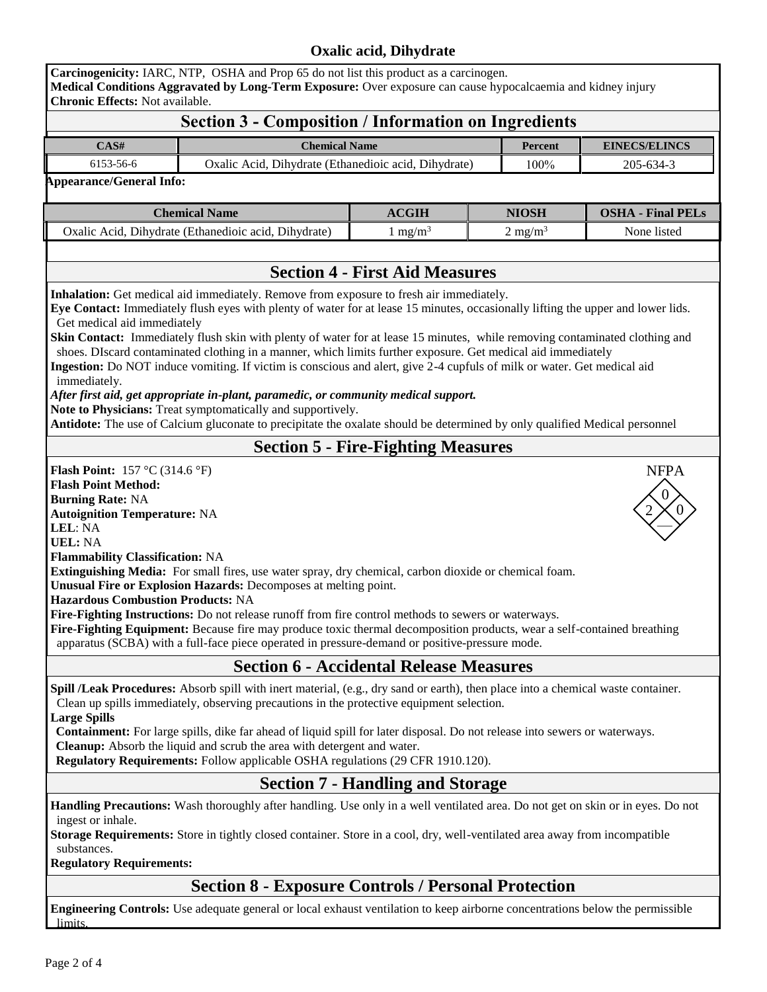# **Oxalic acid, Dihydrate**

| <b>Chronic Effects: Not available.</b>                                                                                                                                                                                                                   | Carcinogenicity: IARC, NTP, OSHA and Prop 65 do not list this product as a carcinogen.<br>Medical Conditions Aggravated by Long-Term Exposure: Over exposure can cause hypocalcaemia and kidney injury                                                                                                                                                                                                                                                                                                                                                                                                                                                     |                                                      |                    |                          |
|----------------------------------------------------------------------------------------------------------------------------------------------------------------------------------------------------------------------------------------------------------|------------------------------------------------------------------------------------------------------------------------------------------------------------------------------------------------------------------------------------------------------------------------------------------------------------------------------------------------------------------------------------------------------------------------------------------------------------------------------------------------------------------------------------------------------------------------------------------------------------------------------------------------------------|------------------------------------------------------|--------------------|--------------------------|
|                                                                                                                                                                                                                                                          | <b>Section 3 - Composition / Information on Ingredients</b>                                                                                                                                                                                                                                                                                                                                                                                                                                                                                                                                                                                                |                                                      |                    |                          |
| CAS#                                                                                                                                                                                                                                                     |                                                                                                                                                                                                                                                                                                                                                                                                                                                                                                                                                                                                                                                            | <b>Chemical Name</b>                                 |                    | <b>EINECS/ELINCS</b>     |
| 6153-56-6                                                                                                                                                                                                                                                |                                                                                                                                                                                                                                                                                                                                                                                                                                                                                                                                                                                                                                                            | Oxalic Acid, Dihydrate (Ethanedioic acid, Dihydrate) |                    | 205-634-3                |
| <b>Appearance/General Info:</b>                                                                                                                                                                                                                          |                                                                                                                                                                                                                                                                                                                                                                                                                                                                                                                                                                                                                                                            |                                                      |                    |                          |
|                                                                                                                                                                                                                                                          | <b>Chemical Name</b>                                                                                                                                                                                                                                                                                                                                                                                                                                                                                                                                                                                                                                       | ACGIH                                                | <b>NIOSH</b>       | <b>OSHA - Final PELs</b> |
| Oxalic Acid, Dihydrate (Ethanedioic acid, Dihydrate)                                                                                                                                                                                                     |                                                                                                                                                                                                                                                                                                                                                                                                                                                                                                                                                                                                                                                            | $1 \text{ mg/m}^3$                                   | $2 \text{ mg/m}^3$ | None listed              |
|                                                                                                                                                                                                                                                          |                                                                                                                                                                                                                                                                                                                                                                                                                                                                                                                                                                                                                                                            |                                                      |                    |                          |
|                                                                                                                                                                                                                                                          |                                                                                                                                                                                                                                                                                                                                                                                                                                                                                                                                                                                                                                                            | <b>Section 4 - First Aid Measures</b>                |                    |                          |
| Get medical aid immediately<br>immediately.                                                                                                                                                                                                              | Skin Contact: Immediately flush skin with plenty of water for at lease 15 minutes, while removing contaminated clothing and<br>shoes. DIscard contaminated clothing in a manner, which limits further exposure. Get medical aid immediately<br>Ingestion: Do NOT induce vomiting. If victim is conscious and alert, give 2-4 cupfuls of milk or water. Get medical aid<br>After first aid, get appropriate in-plant, paramedic, or community medical support.<br>Note to Physicians: Treat symptomatically and supportively.<br>Antidote: The use of Calcium gluconate to precipitate the oxalate should be determined by only qualified Medical personnel |                                                      |                    |                          |
|                                                                                                                                                                                                                                                          |                                                                                                                                                                                                                                                                                                                                                                                                                                                                                                                                                                                                                                                            | <b>Section 5 - Fire-Fighting Measures</b>            |                    |                          |
| <b>Flash Point:</b> 157 °C (314.6 °F)<br><b>Flash Point Method:</b><br><b>Burning Rate: NA</b><br><b>Autoignition Temperature: NA</b><br>LEL: NA<br><b>UEL: NA</b><br><b>Flammability Classification: NA</b><br><b>Hazardous Combustion Products: NA</b> | Extinguishing Media: For small fires, use water spray, dry chemical, carbon dioxide or chemical foam.<br>Unusual Fire or Explosion Hazards: Decomposes at melting point.<br>Fire-Fighting Instructions: Do not release runoff from fire control methods to sewers or waterways.                                                                                                                                                                                                                                                                                                                                                                            |                                                      |                    | <b>NFPA</b>              |
|                                                                                                                                                                                                                                                          | Fire-Fighting Equipment: Because fire may produce toxic thermal decomposition products, wear a self-contained breathing<br>apparatus (SCBA) with a full-face piece operated in pressure-demand or positive-pressure mode.                                                                                                                                                                                                                                                                                                                                                                                                                                  |                                                      |                    |                          |
|                                                                                                                                                                                                                                                          |                                                                                                                                                                                                                                                                                                                                                                                                                                                                                                                                                                                                                                                            | <b>Section 6 - Accidental Release Measures</b>       |                    |                          |
| <b>Large Spills</b>                                                                                                                                                                                                                                      | Spill /Leak Procedures: Absorb spill with inert material, (e.g., dry sand or earth), then place into a chemical waste container.<br>Clean up spills immediately, observing precautions in the protective equipment selection.<br>Containment: For large spills, dike far ahead of liquid spill for later disposal. Do not release into sewers or waterways.<br>Cleanup: Absorb the liquid and scrub the area with detergent and water.<br>Regulatory Requirements: Follow applicable OSHA regulations (29 CFR 1910.120).                                                                                                                                   |                                                      |                    |                          |
|                                                                                                                                                                                                                                                          |                                                                                                                                                                                                                                                                                                                                                                                                                                                                                                                                                                                                                                                            | <b>Section 7 - Handling and Storage</b>              |                    |                          |
| ingest or inhale.<br>substances.<br><b>Regulatory Requirements:</b>                                                                                                                                                                                      | Handling Precautions: Wash thoroughly after handling. Use only in a well ventilated area. Do not get on skin or in eyes. Do not<br><b>Storage Requirements:</b> Store in tightly closed container. Store in a cool, dry, well-ventilated area away from incompatible                                                                                                                                                                                                                                                                                                                                                                                       |                                                      |                    |                          |
|                                                                                                                                                                                                                                                          | <b>Section 8 - Exposure Controls / Personal Protection</b><br><b>Engineering Controls:</b> Use adequate general or local exhaust ventilation to keen airborne concentrations below the permissible                                                                                                                                                                                                                                                                                                                                                                                                                                                         |                                                      |                    |                          |

**Engineering Controls:** Use adequate general or local exhaust ventilation to keep airborne concentrations below the permissible **limits**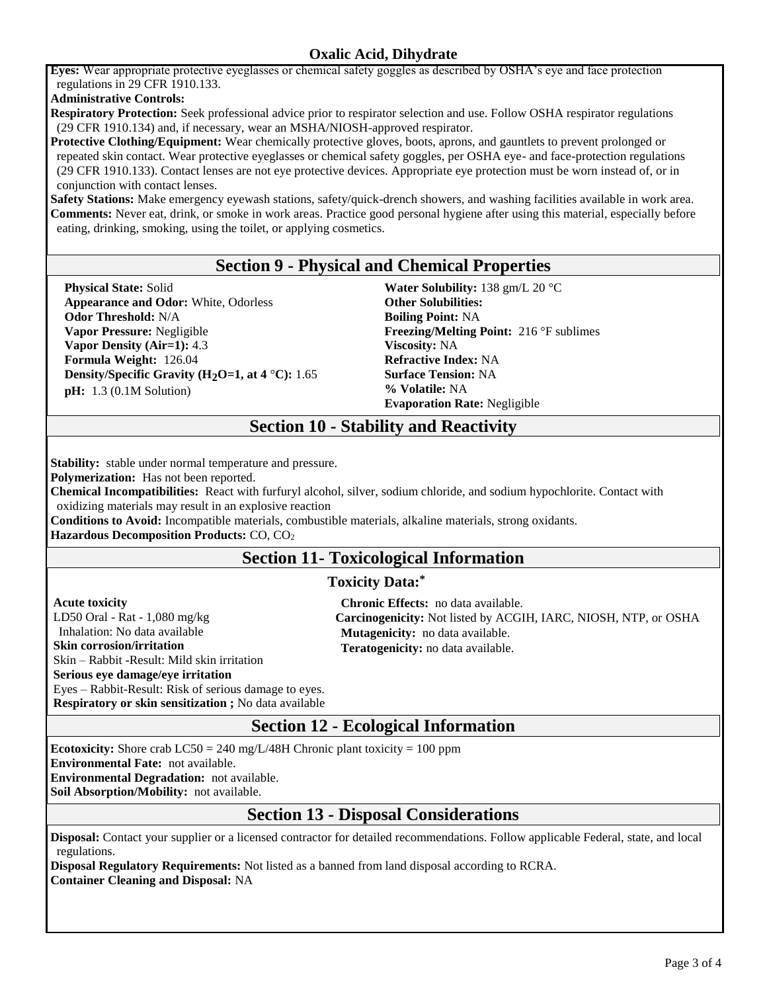#### **Oxalic Acid, Dihydrate**

**Eyes:** Wear appropriate protective eyeglasses or chemical safety goggles as described by OSHA's eye and face protection regulations in 29 CFR 1910.133.

**Administrative Controls:**

**Respiratory Protection:** Seek professional advice prior to respirator selection and use. Follow OSHA respirator regulations (29 CFR 1910.134) and, if necessary, wear an MSHA/NIOSH-approved respirator.

**Protective Clothing/Equipment:** Wear chemically protective gloves, boots, aprons, and gauntlets to prevent prolonged or repeated skin contact. Wear protective eyeglasses or chemical safety goggles, per OSHA eye- and face-protection regulations (29 CFR 1910.133). Contact lenses are not eye protective devices. Appropriate eye protection must be worn instead of, or in conjunction with contact lenses.

**Safety Stations:** Make emergency eyewash stations, safety/quick-drench showers, and washing facilities available in work area. **Comments:** Never eat, drink, or smoke in work areas. Practice good personal hygiene after using this material, especially before eating, drinking, smoking, using the toilet, or applying cosmetics.

#### **Section 9 - Physical and Chemical Properties**

**Physical State:** Solid **Appearance and Odor:** White, Odorless **Odor Threshold:** N/A **Vapor Pressure:** Negligible **Vapor Density (Air=1):** 4.3 **Formula Weight:** 126.04 **Density/Specific Gravity (H2O=1, at 4** °**C):** 1.65 **pH:** 1.3 (0.1M Solution)

**Water Solubility:** 138 gm/L 20 °C **Other Solubilities: Boiling Point:** NA **Freezing/Melting Point:** 216 °F sublimes **Viscosity:** NA **Refractive Index:** NA **Surface Tension:** NA **% Volatile:** NA **Evaporation Rate:** Negligible

## **Section 10 - Stability and Reactivity**

**Stability:** stable under normal temperature and pressure.

**Polymerization:** Has not been reported.

**Chemical Incompatibilities:** React with furfuryl alcohol, silver, sodium chloride, and sodium hypochlorite. Contact with oxidizing materials may result in an explosive reaction

**Conditions to Avoid:** Incompatible materials, combustible materials, alkaline materials, strong oxidants.

**Hazardous Decomposition Products:** CO, CO<sup>2</sup>

## **Section 11- Toxicological Information**

#### **Toxicity Data:\***

**Acute toxicity** LD50 Oral - Rat - 1,080 mg/kg Inhalation: No data available **Skin corrosion/irritation** Skin – Rabbit -Result: Mild skin irritation **Serious eye damage/eye irritation** Eyes – Rabbit-Result: Risk of serious damage to eyes. **Respiratory or skin sensitization ;** No data available

**Chronic Effects:** no data available. **Carcinogenicity:** Not listed by ACGIH, IARC, NIOSH, NTP, or OSHA **Mutagenicity:** no data available. **Teratogenicity:** no data available.

**Section 12 - Ecological Information**

**Ecotoxicity:** Shore crab  $LC50 = 240$  mg/ $L/48H$  Chronic plant toxicity = 100 ppm

**Environmental Fate:** not available.

**Environmental Degradation:** not available.

**Soil Absorption/Mobility:** not available.

## **Section 13 - Disposal Considerations**

**Disposal:** Contact your supplier or a licensed contractor for detailed recommendations. Follow applicable Federal, state, and local regulations.

**Disposal Regulatory Requirements:** Not listed as a banned from land disposal according to RCRA. **Container Cleaning and Disposal:** NA